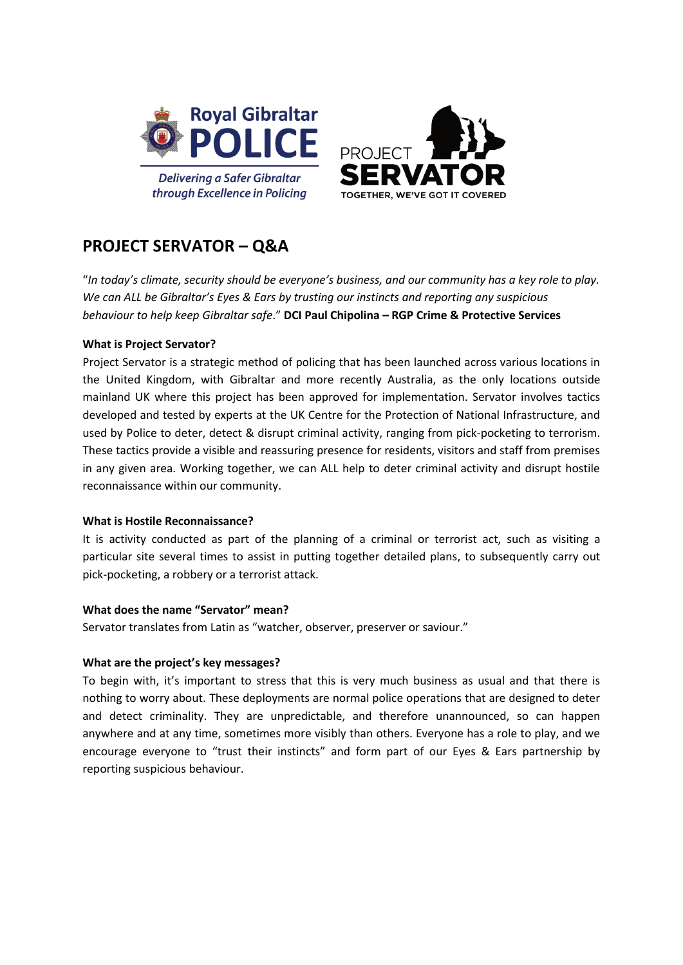

through Excellence in Policing



# **PROJECT SERVATOR – Q&A**

"In today's climate, security should be everyone's business, and our community has a key role to play. *We can ALL be Gibraltar's Eyes & Ears by trusting our instincts and reporting any suspicious behaviour to help keep Gibraltar safe*." **DCI Paul Chipolina – RGP Crime & Protective Services**

## **What is Project Servator?**

Project Servator is a strategic method of policing that has been launched across various locations in the United Kingdom, with Gibraltar and more recently Australia, as the only locations outside mainland UK where this project has been approved for implementation. Servator involves tactics developed and tested by experts at the UK Centre for the Protection of National Infrastructure, and used by Police to deter, detect & disrupt criminal activity, ranging from pick-pocketing to terrorism. These tactics provide a visible and reassuring presence for residents, visitors and staff from premises in any given area. Working together, we can ALL help to deter criminal activity and disrupt hostile reconnaissance within our community.

### **What is Hostile Reconnaissance?**

It is activity conducted as part of the planning of a criminal or terrorist act, such as visiting a particular site several times to assist in putting together detailed plans, to subsequently carry out pick-pocketing, a robbery or a terrorist attack.

## **What does the name "Servator" mean?**

Servator translates from Latin as "watcher, observer, preserver or saviour."

## **What are the project's key messages?**

To begin with, it's important to stress that this is very much business as usual and that there is nothing to worry about. These deployments are normal police operations that are designed to deter and detect criminality. They are unpredictable, and therefore unannounced, so can happen anywhere and at any time, sometimes more visibly than others. Everyone has a role to play, and we encourage everyone to "trust their instincts" and form part of our Eyes & Ears partnership by reporting suspicious behaviour.